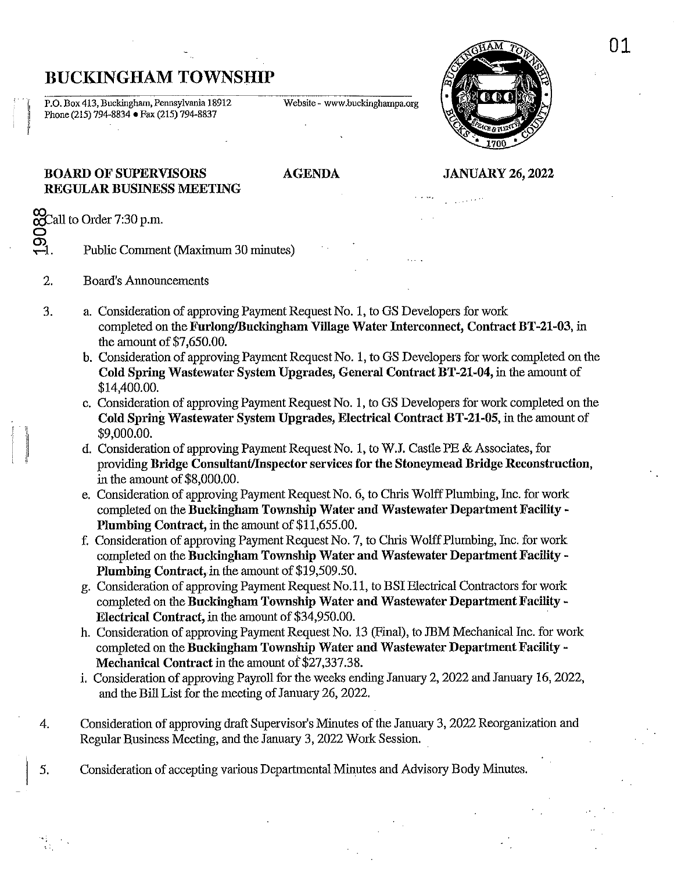# BUCKINGHAM TOWNSHIP

P.O. Box 413, Buckingham, Pennsylvania 18912 Website - www.buckinghampa.org Phone (215) 794-8834 • Fax (215) 794-8837



# BOARD OF SUPERVISORS REGULAR BUSINESS MEETING

# AGENDA JANUARY 26, 2022

فعفيت

 $\infty$ Call to Order 7:30 p.m. ğ

, f

ಹ್ನ

II

Public Comment (Maximum 30 minutes)

- 2. Board's Announcements
- 3. a. Consideration of approving Payment Request No.1, to OS Developers for work completed on the Furlong/Buckingham Village Water Interconnect, Contract BT-21-03, in the amount of \$7,650.00.
	- b. Consideration of approving Payment Request No.1, to OS Developers for work completed on the Cold Spring Wastewater System Upgrades, General Contract BT -21-04, in the amount of \$14,400.00.
	- c. Consideration of approving Payment Request No.1, to OS Developers for work completed on the Cold Spring Wastewater System Upgrades, Electrical Contract BT-21-05, in the amount of \$9,000.00.
	- d. Consideration of approving Payment Request No.1, to W.J. Castle PE & Associates, for providing Bridge Consultant/Inspector services for the Stoneymead Bridge Reconstruction, in the amount of \$8,000.00.
	- e. Consideration of approving Payment Request No.6, to Chris Wolff Plumbing, Inc. for work completed on the Buckingham Township Water and Wastewater Department Facility - Plumbing Contract, in the amount of \$11,655.00.
	- f. Consideration of approving Payment Request No.7, to Chris Wolff Plumbing, Inc. for work completed on the Buckingham Township Water and Wastewater Department Facility-Plumbing Contract, in the amount of \$19,509.50.
	- g. Consideration of approving Payment Request No.11, to BSI Electrical Contractors for work completed on the Buckingham Township Water and Wastewater Department Facility - Electrical Contract, in the amount of \$34,950.00.
	- h. Consideration of approving Payment Request No. 13 (Final), to JBM Mechanical Inc. for work completed on the Buckingham Township Water aud Wastewater Department Facility - Mechanical Contract in the amount of \$27,337.38.
	- i. Consideration of approving Payroll for the weeks ending January 2, 2022 and January 16,2022, and the Bill List for the meeting of January 26, 2022.
- 4. Consideration of approving draft Supervisor's Minutes of the January 3, 2022 Reorganization and Regular Business Meeting, and the January 3, 2022 Work Session.
- 5. Consideration of accepting various Departmental Minutes and Advisory Body Minutes.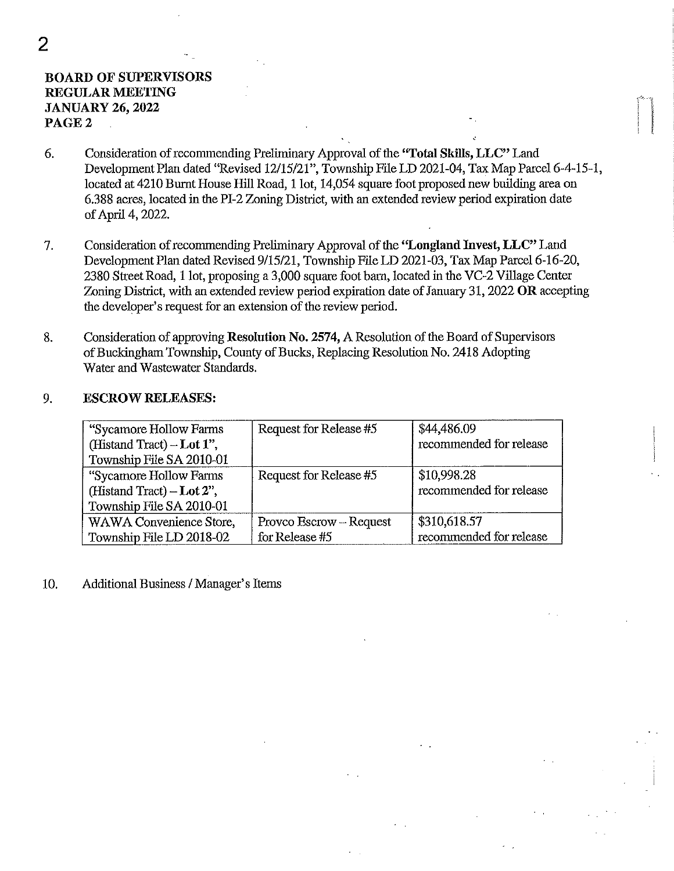# BOARD OF SUPERVISORS REGULAR MEETING JANUARY 26, 2022 PAGE 2

- 6. Consideration of recommending Preliminary Approval of the "Total Skills, LLC" Land Development Plan dated "Revised *12/15/21",* Township File LD 2021-04, Tax Map Parcel 6-4-15-1, located at 4210 Burnt House Hill Road, 1 lot, 14,054 square foot proposed new building area on 6.388 acres, located in the PI-2 Zoning District, with an extended review period expiration date of April 4, 2022.
- 7. Consideration of recommending Preliminary Approval of the ''Longland Invest, LLC" Land Development Plan dated Revised *9/15/21,* Township File LD 2021-03, Tax Map Parcel 6-16-20, 2380 Street Road, 1 lot, proposing a 3,000 square foot barn, located in the VC-2 Village Center Zoning District, with an extended review period expiration date of January 31, 2022 OR accepting the developer's request for an extension of the review period.
- 8. Consideration of approving Resolution No. 2574, A Resolution of the Board of Supervisors of Buckingham Township, County of Bucks, Replacing Resolution No. 2418 Adopting Water and Wastewater Standards.

### 9. ESCROW RELEASES:

| "Sycamore Hollow Farms"<br>(Histand Tract) $-$ Lot 1",<br>Township File SA 2010-01 | Request for Release #5                    | \$44,486.09<br>recommended for release  |
|------------------------------------------------------------------------------------|-------------------------------------------|-----------------------------------------|
| "Sycamore Hollow Farms<br>(Histand Tract) $-$ Lot 2",<br>Township File SA 2010-01  | Request for Release #5                    | \$10,998.28<br>recommended for release  |
| WAWA Convenience Store,<br>Township File LD 2018-02                                | Provco Escrow – Request<br>for Release #5 | \$310,618.57<br>recommended for release |

10. Additional Business / Manager's Items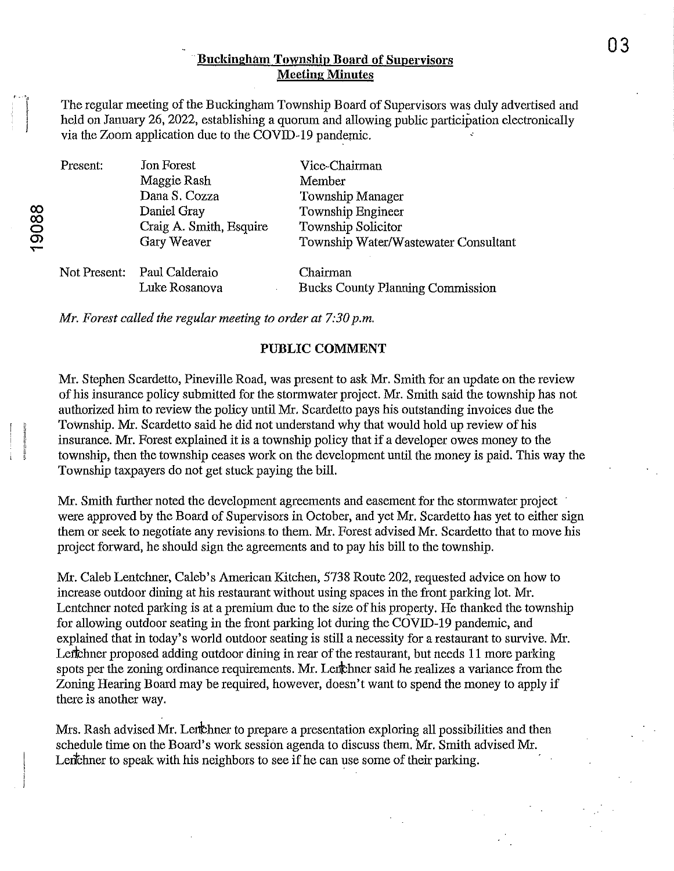# **Buckingham Township Board of Supervisors** Meeting Minutes

The regular meeting of the Buckingham Township Board of Supervisors was duly advertised and held on January 26, 2022, establishing a quorum and allowing public participation electronically via the Zoom application due to the COVID-19 pandemic.

| Present: | Jon Forest                  | Vice-Chairman                           |
|----------|-----------------------------|-----------------------------------------|
|          | Maggie Rash                 | Member                                  |
|          | Dana S. Cozza               | Township Manager                        |
|          | Daniel Gray                 | Township Engineer                       |
|          | Craig A. Smith, Esquire     | Township Solicitor                      |
|          | Gary Weaver                 | Township Water/Wastewater Consultant    |
|          | Not Present: Paul Calderaio | Chairman                                |
|          | Luke Rosanova<br>٠          | <b>Bucks County Planning Commission</b> |

*Mr. Forest called the regular meeting to order at 7:30 p.m.* 

#### PUBLIC COMMENT

Mr. Stephen Scardetto, Pineville Road, was present to ask Mr. Smith for an update on the review of his insurance policy submitted for the stormwater project. Mr. Smith said the township has not authorized him to review the policy until Mr. Scardetto pays his outstanding invoices due the Township. Mr. Scardetto said he did not understand why that would hold up review of his insurance. Mr. Forest explained it is a township policy that if a developer owes money to the township, then the township ceases work on the development until the money is paid. This way the Township taxpayers do not get stuck paying the bill.

Mr. Smith further noted the development agreements and easement for the stormwater project were approved by the Board of Supervisors in October, and yet Mr. Scardetto has yet to either sign them or seek to negotiate any revisions. to them. Mr. Forest advised Mr. Scardetto that to move his project forward, he should sign the agreements and to pay his bill to the township.

Mr. Caleb Lentchner, Caleb's American Kitchen, 5738 Route 202, requested advice on how to increase outdoor dining at his restaurant without using spaces in the front parking lot. Mr. Lentchner noted parking is at a premium due to the size of his property. He thanked the township for allowing outdoor seating in the front parking lot during the COVID-19 pandemic, and explained that in today's world outdoor seating is still a necessity for a restaurant to survive. Mr. Leffthner proposed adding outdoor dining in rear of the restaurant, but needs 11 more parking spots per the zoning ordinance requirements. Mr. Lenchmer said he realizes a variance from the Zoning Hearing Board may be required, however, doesn't want to spend the money to apply if there is another way.

Mrs. Rash advised Mr. Lettchner to prepare a presentation exploring all possibilities and then schedule time on the Board's work session agenda to discuss them. Mr. Smith advised Mr. Lent chner to speak with his neighbors to see if he can use some of their parking.

03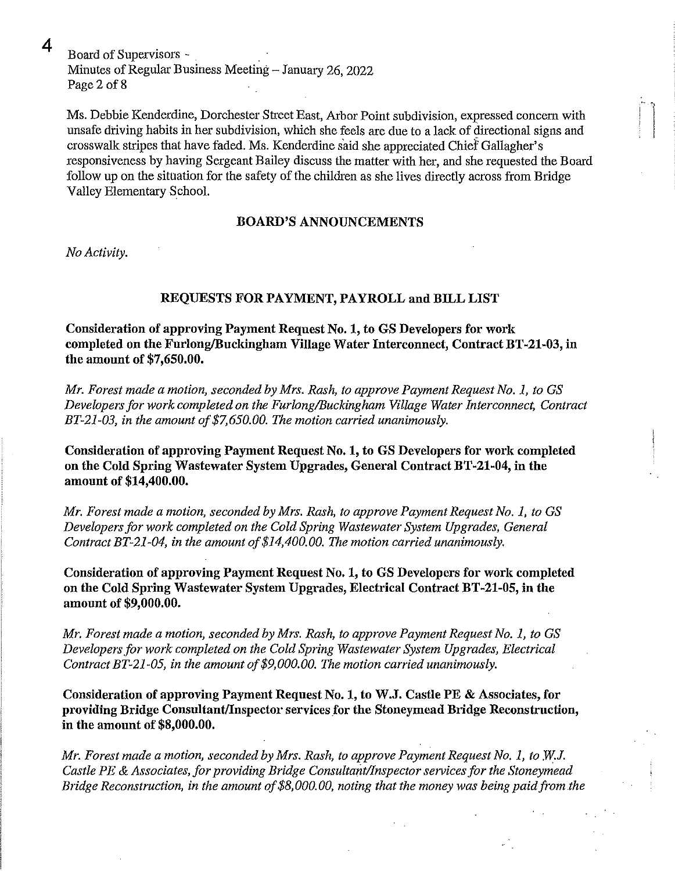$4$  Board of Supervisors -Minutes of Regular Business Meeting - January 26, 2022 Page 2 of 8

Ms. Debbie Kenderdine, Dorchester Street East, Arbor Point subdivision, expressed concern with unsafe driving habits in her subdivision, which she feels are due to a lack of directional signs and crosswalk stripes that have faded. Ms. Kenderdine said she appreciated Chief Gallagher's responsiveness by having Sergeant Bailey discuss the matter with her, and she requested the Board follow up on the situation for the safety of the children as she lives directly across from Bridge Valley Elementary School.

#### **BOARD'S ANNOUNCEMENTS**

*No Activity.* 

# **REQUESTS FOR PAYMENT, PAYROLL and BILL LIST**

**Consideration of approving Payment Request No.1, to GS Developers for work**  completed on the Furlong/Buckingham Village Water Interconnect, Contract BT-21-03, in **the amount of \$7,650.00.** 

*Mr. Forest made a motion, seconded by Mrs. Rash, to approve Payment Request No.1, to* GS *Developers for work completed on the FurlonglBuckingham Village Water Interconnect, Contract BT-21-03, in the amount of \$7,650.00. The motion carried unanimously.* 

**Consideration of approving Payment Request No.1, to GS Developers for work completed on the Cold Spring Wastewater System Upgrades, General Contract BT-21-04, in the amount of \$14,400.00.** 

*Mr. Forest made a motion, seconded by Mrs. Rash, to approve Payment Request No.1, to* GS *Developers for work completed on the Cold Spring Wastewater System Upgrades, General Contract BT-21-04, in the amount of \$14,400.00. The motion carried unanimously.* 

**Consideration of approving Payment Request No.1, to GS Developers for work completed on the Cold Spring Wastewater System Upgrades, Electrical Contract BT-21-05, in the amount of \$9,000.00.** 

*Mr. Forest made a motion, seconded by Mrs. Rash, to approve Payment Request No.1, to* GS *Developers for work completed on the Cold Spring Wastewater System Upgrades, Electrical Contract BT-21-05, in the amount of \$9,000.00. The motion carried unanimously.* 

**Consideration of approving Payment Request No.1, to W.J. Castle PE & Associates, for**  providing Bridge Consultant/Inspector services for the Stoneymead Bridge Reconstruction, **in the amount of \$8,000.00.** 

*Mr. Forest made a motion, seconded by Mrs. Rash, to approve Payment Request No. 1, to W.J. Castle PE* & *Associates, for providing Bridge ConsultantlInspector services for the Stoneymead Bridge Reconstruction, in the amount of \$8,000.00, noting that the money was being paid from the*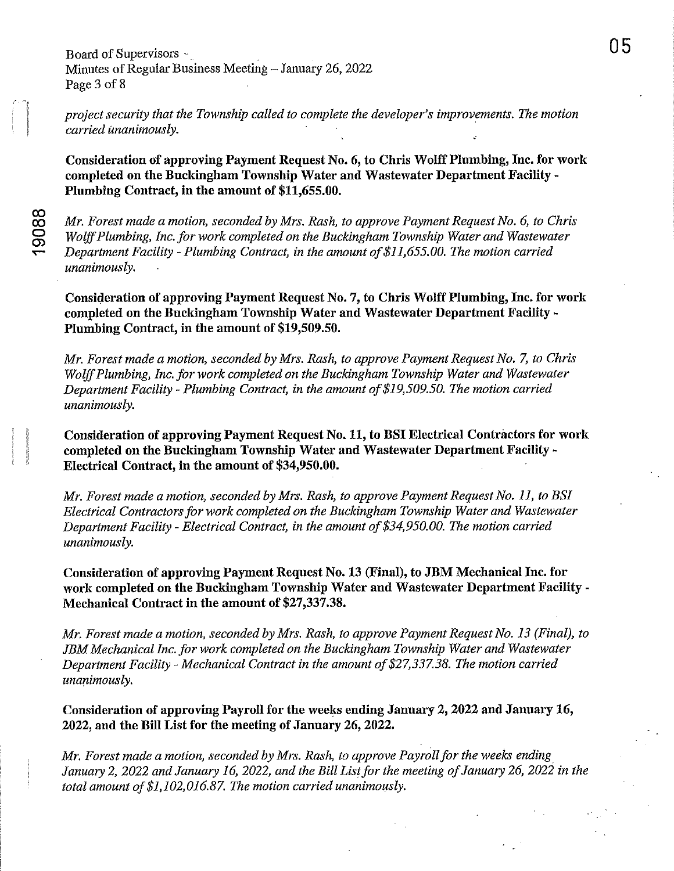*project security that the Township called to complete the developer's improvements. The motion carried unanimously. .* 

**Consideration of approving Payment Reqnest No.6, to Chris Wolff Plnmbing, Inc. for work completed on the Bnckingham Township Water and Wastewater Department Facility-Plumbing Contract, in the amouut of \$11,655.00.** 

co CO o 0> ......

*Mr. Forest made a motion, seconded by Mrs. Rash, to approve Payment Request No.6, to Chris Wolff Plumbing, Inc. for work completed on the Buckingham Township Water and Wastewater Department Facility* - *Plumbing Contract, in the amount of\$11,655.00. The motion carried unanimously.* 

**Consideration of approving Payment Request No.7, to Chris Wolff Plumbing, Inc. for work completed on the Buckingham Township Water and Wastewater Department Facility-Plumbing Contract, in the amount of \$19,509.50.** 

*Mr. Forest made a motion, seconded by Mrs. Rash, to approve Payment Request No.7, to Chris Wolff Plumbing, Inc. for work completed on the Buckingham Township Water and Wastewater Department Facility* - *Plumbing Contract, in the amount of\$19,509.50. The motion carried unanimously.* 

**Consideration of approving Payment Request No. 11, to BSI Electrical Contractors for work completed on the Buckingham Township Water and Wastewater Department Facility-Electrical Contract, in the amount of \$34,950.00.** 

*Mr. Forest made a motion, seconded by Mrs. Rash, to approve Payment Request No. 11, to BSI Electrical Contractors for work completed on the Buckingham Township Water and Wastewater Department Facility* - *Electrical Contract, in the amount of\$34,950.00. The motion carried unanimously.* 

**Consideration of approving Payment Request No. 13 (Final), to JBM Mechanical Inc. for work completed on the Buckingham Township Water and Wastewater Department Facility - Mechanical Contract in the amount of \$27,337.38.** 

*Mr. Forest made a motion, seconded by Mrs. Rash, to approve Payment Request No.* 13 *(Final), to JBM Mechanical Inc. for work completed on the Buckingham Township Water and Wastewater Department Facility* - *Mechanical Contract in the amount of* \$27,337.38. *The motion carried unanimously.* 

**Consideration of approving Payroll for the weeks ending January 2, 2022 and January 16, 2022, and the Bill List for the meeting of January 26, 2022.** 

*Mr. Forest made a motion, seconded by Mrs. Rash, to approve Payroll for the weeks ending January 2,2022 and January* 16, *2022, and the Bill Listfor the meeting of January 26,2022 in the total amount of \$1,102,016.87. The motion carried unanimously.*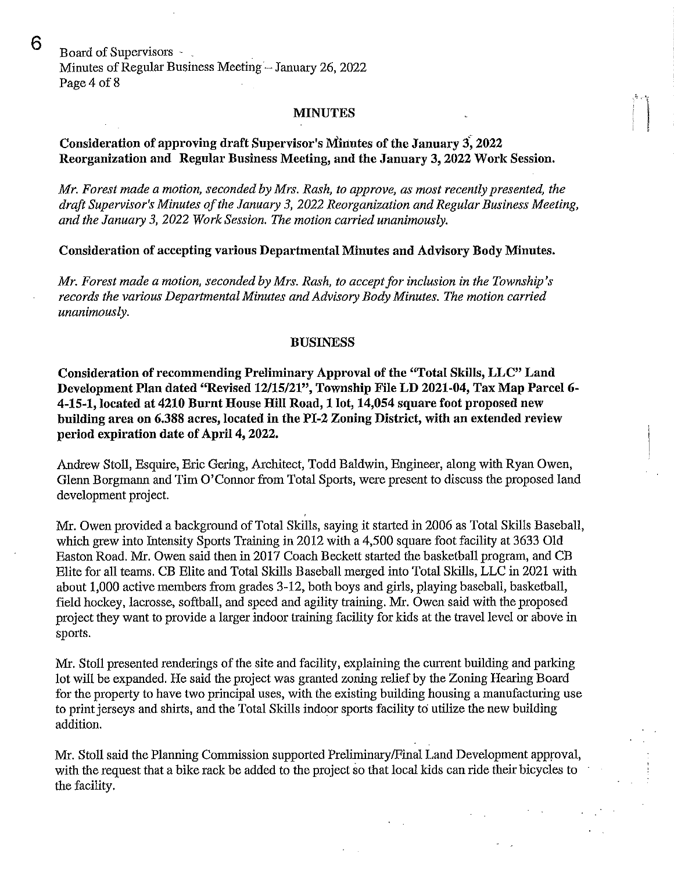6 Board of Supervisors -Minutes of Regular Business Meeting - January 26, 2022 Page 4 of 8

#### MINUTES

# Consideration of approving draft Supervisor's Minutes of the January 3: 2022 Reorganization and Regular Business Meeting, and the January 3, 2022 Work Session.

*Mr. Forest made a motion, seconded by Mrs. Rash, to approve, as most recently presented, the draft Supervisor's Minutes of the January* 3, *2022 Reorganization and Regular Business Meeting, and the January* 3, *2022 Work Session. The motion carried unanimously.* 

Consideration of accepting various Departmental Minutes and Advisory Body Minutes.

*Mr. Forest made a motion, seconded by Mrs. Rash, to accept for inclusion in the Township's records the various Departmental Minutes and Advisory Body Minutes. The motion carried unanimously.* 

#### BUSINESS

Consideration of recommending Preliminary Approval of the "Total Skills, LLC" Land Development Plan dated "Revised *12/15/21",* Township File LD 2021-04, Tax Map Parcel 6- 4-15-1, located at 4210 Burnt House Hill Road, 1 lot, 14,054 square foot proposed new building area on 6.388 acres, located in the PI-2 Zoning District, with an extended review period expiration date of April 4, 2022.

Andrew Stoll, Esquire, Eric Gering, Architect, Todd Baldwin, Engineer, along with Ryan Owen, Glenn Borgmann and Tim O'Connor from Total Sports, were present to discuss the proposed land development project.

Mr. Owen provided a background of Total Skills, saying it started in 2006 as Total Skills Baseball, which grew into Intensity Sports Training in 2012 with a 4,500 square foot facility at 3633 Old Easton Road. Mr. Owen said then in 2017 Coach Beckett started the basketball program, and CB Elite for all tearns. CB Elite and Total Skills Baseball merged into Total Skills, LLC in 2021 with about 1,000 active members from grades 3-12, both boys and girls, playing baseball, basketball, field hockey, lacrosse, softball, and speed and agility training. Mr. Owen said with the proposed project they want to provide a larger indoor training facility for kids at the travel level or above in sports.

Mr. Stoll presented renderings of the site and facility, explaining the current building and parking lot will be expanded. He said the project was granted zoning relief by the Zoning Hearing Board for the property to have two principal uses, with the existing building housing a manufacturing use to print jerseys and shirts, and the Total Skills indoor sports facility to utilize the new building addition.

Mr. Stoll said the Planning Commission supported Preliminary/Final Land Development approval, with the request that a bike rack be added to the project so that local kids can ride their bicycles to the facility.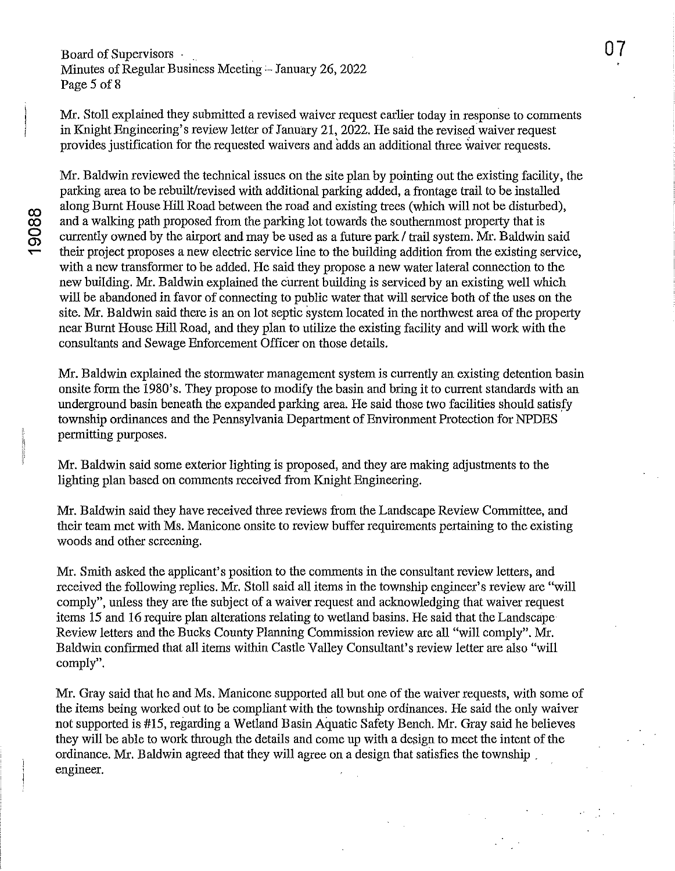# Board of Supervisors - Minutes of Regular Business Meeting - January 26, 2022 Page 5 of 8

Mr. Stoll explained they submitted a revised waiver request earlier today in response to comments in Knight Engineering's review letter of January 21, 2022. He said the revised waiver request provides justification for the requested waivers and adds an additional three waiver requests.

Mr. Baldwin reviewed the technical issues on the site plan by pointing out the existing facility, the parking area to be rebuilt/revised with additional parking added, a frontage trail to be installed along Burnt House Hill Road between the road and existing trees (which will not be disturbed), and a walking path proposed from the parking lot towards the southernmost property that is currently owned by the airport and may be used as a future park / trail system. Mr. Baldwin said their project proposes a new electric service line to the building addition from the existing service, with a new transformer to be added. He said they propose a new water lateral connection to the new building. Mr. Baldwin explained the current building is serviced by an existing well which will be abandoned in favor of connecting to public water that will service both of the uses on the site. Mr. Baldwin said there is an on lot septic system located in the northwest area of the property near Burnt House Hill Road, and they plan to utilize the existing facility and will work with the consultants and Sewage Enforcement Officer on those details.

Mr. Baldwin explained the stormwater management system is currently an existing detention basin onsite form the 1980's. They propose to modify the basin and bring it to current standards with an nnderground basin beneath the expanded parking area. He said those two facilities should satisfy township ordinances and the Pennsylvania Department of Environment Protection for NPDES permitting purposes.

Mr. Baldwin said some exterior lighting is proposed, and they are making adjustments to the lighting plan based on comments received from Knight Engineering.

Mr. Baldwin said they have received three reviews from the Landscape Review Committee, and their team met with Ms. Manicone onsite to review buffer requirements pertaining to the existing woods and other screening.

Mr. Smith asked the applicant's position to the comments in the consultant review letters, and received the following replies. Mr. Stoll said all items in the township engineer's review are "will comply", unless they are the subject of a waiver request and acknowledging that waiver request items 15 and 16 require plan alterations relating to wetland basins. He said that the Landscape Review letters and the Bucks County Planning Commission review are all "will comply". Mr. Baldwin confirmed that all items within Castle Valley Consultant's review letter are also "will comply".

Mr. Gray said that he and Ms. Manicone supported all but one of the waiver requests, with some of the items being worked out to be compliant with the township ordinances. He said the only waiver not supported is #15, regarding a Wetland Basin Aquatic Safety Bench. Mr. Gray said he believes they will be able to work through the details and come up with a design to meet the intent of the ordinance. Mr. Baldwin agreed that they will agree on a design that satisfies the township. engineer.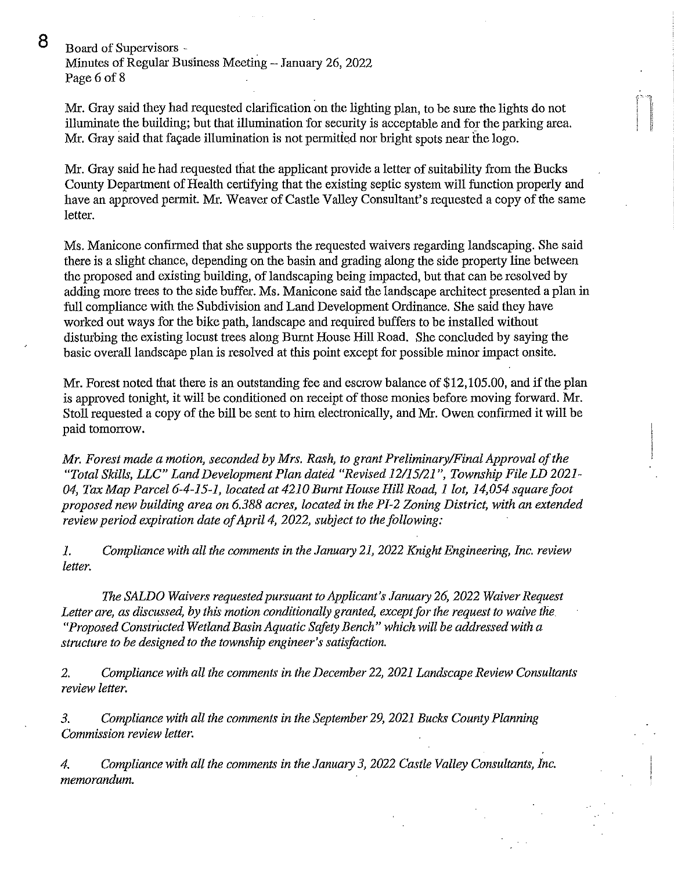8 Board of Supervisors -

Minutes of Regular Business Meeting - January 26, 2022 Page 6 of 8

Mr. Gray said they had requested clarification on the lighting plan, to be sure the lights do not illuminate the building; but that illumination for security is acceptable and for the parking area. Mr. Gray said that façade illumination is not permitted nor bright spots near the logo.

Mr. Gray said he had requested that the applicant provide a letter of suitability from the Bucks County Department of Health certifying that the existing septic system will function properly and have an approved permit. Mr. Weaver of Castle Valley Consultant's requested a copy of the same letter.

Ms. Manicone confirmed that she supports the requested waivers regarding landscaping. She said there is a slight chance, depending on the basin and grading along the side property line between the proposed and existing building, of landscaping being impacted, but that can be resolved by adding more trees to the side buffer. Ms. Manicone said the landscape architect presented a plan in full compliance with the Subdivision and Land Development Ordinance. She said they have worked out ways for the bike path, landscape and required buffers to be installed without disturbing the existing locust trees along Burnt House Hill Road. She concluded by saying the basic overall landscape plan is resolved at this point except for possible minor impact onsite.

Mr. Forest noted that there is an outstanding fee and escrow balance of \$12,105.00, and if the plan is approved tonight, it will be conditioned on receipt of those monies before moving forward. Mr. Stoll requested a copy of the bill be sent to him electronically, and Mr. Owen confirmed it will be paid tomorrow.

*Mr. Forest made a motion, seconded by Mrs. Rash, to grant Preliminary/Final Approval of the "Total Skills, LLC" Land Development Plan dated "Revised* 12/15/21 ", *Township File LD 2021- 04, Tax Map Parcel* 6-4-15-1, *located at 4210 Burnt House Hill Road,* 1 *lot, 14,054 squarefoot proposed new building area on* 6.388 *acres, located in the Pl-2 Zoning District, with an extended review period expiration date of April* 4, *2022, subject to the following:* 

*1. Compliance with all the comments in the January* 21, *2022 Knight Engineering, Inc. review letter.* 

*The SALDO Waivers requested pursuant to Applicant's January* 26, *2022 Waiver Request Letter are, as discussed, by this motion conditionally granted, except for the request to waive the*  "Proposed Constructed Wetland Basin Aquatic Safety Bench" which will be addressed with a *structure to be designed to the township engineer's satisfaction.* 

*2. Compliance with all the comments in the December* 22, *2021 Landscape Review Consultants review letter.* 

*3. Compliance with all the comments in the September* 29, *2021 Bucks County Planning Commission review letter.* 

*4. Compliance with all the comments in the January* 3, *2022 Castle Valley Consultants, Inc. memorandum.*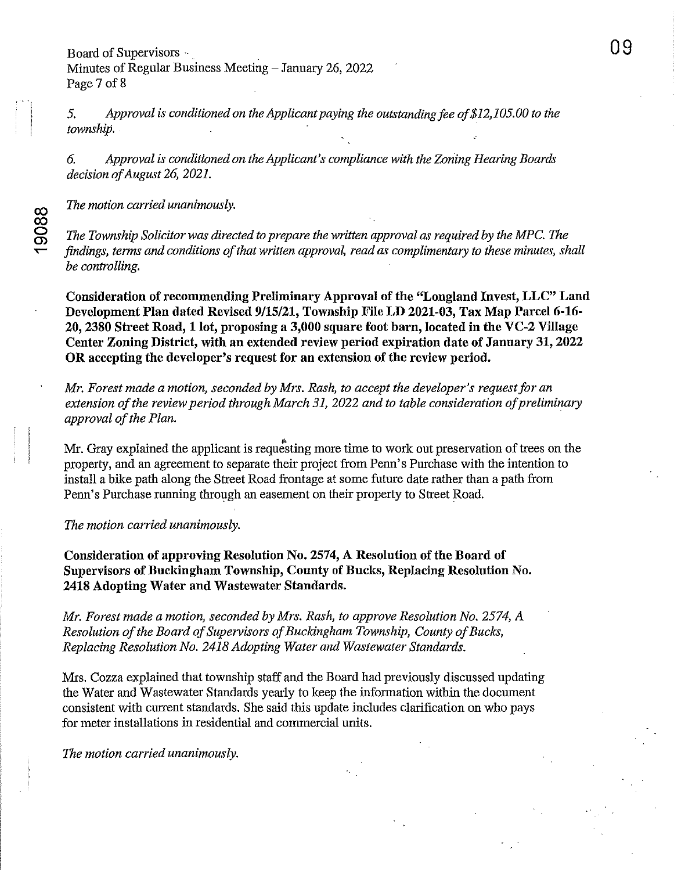*5. Approval* is *conditioned on the Applicant paying the outstanding fee of \$12,105.00 to the township.* 

09

*6. Approval is conditioned on the Applicant's compliance with the Zoning Hearing Boards decision of August* 26, *2021.* 

*The motion carried unanimously.* 

 $\overline{\mathbf{v}}$ 

1908

*The Township Solicitor was directed to prepare the written approval as required by the MPC. The findings, terms and conditions of that written approval, read as complimentary to these minutes, shall be controlling.* 

Consideration of recommending Preliminary Approval of the "Longland Invest, LLC" Land Development Plan dated Revised *9/15/21,* Township File LD 2021-03, Tax Map Parcel 6-16- 20, 2380 Street Road, 1 lot, proposing a 3,000 square foot barn, located in the VC-2 Village Center Zoning District, with an extended review period expiration date of January 31, 2022 **OR** accepting the developer's request for an extension of the review period.

*Mr. Forest made a motion, seconded by Mrs. Rash, to accept the developer's request for an extension of the review period through March* 31, *2022 and to table consideration of preliminary approval of the Plan.* 

Mr. Gray explained the applicant is requesting more time to work out preservation of trees on the property, and an agreement to separate their project from Penn's Purchase with the intention to install a bike path along the Street Road frontage at some future date rather than a path from Penn's Purchase running through an easement on their property to Street Road.

*The motion carried unanimously.* 

Consideration of approving Resolution No. 2574, A Resolution of the Board of Supervisors of Buckingham Township, County of Bucks, Replacing Resolution No. 2418 Adopting Water and Wastewater Standards.

*Mr. Forest made a motion, seconded by Mrs. Rash, to approve Resolution No.* 2574, *A Resolution of the Board of Supervisors of Buckingham Township, County of Bucks, Replacing Resolution No.* 2418 *Adopting Water and Wastewater Standards.* 

Mrs. Cozza explained that township staff and the Board had previously discussed updating the Water and Wastewater Standards yearly to keep the information within the document consistent with current standards. She said this update includes clarification on who pays for meter installations in residential and commercial units.

*The motion carried unanimously.*